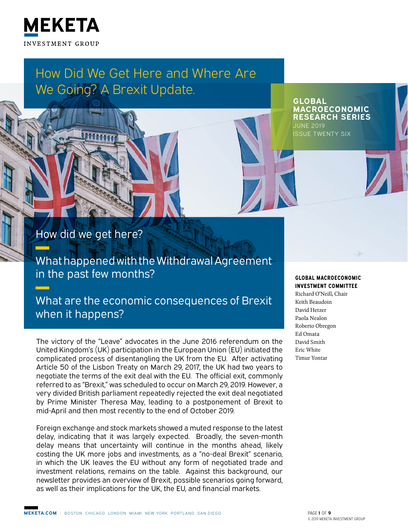

# How Did We Get Here and Where Are We Going? A Brexit Update.

**GLOBAL MACROECONOMIC RESEARCH SERIES** JUNE 2019 ISSUE TWENTY SIX

How did we get here?

What happened with the Withdrawal Agreement in the past few months?

What are the economic consequences of Brexit when it happens?

The victory of the "Leave" advocates in the June 2016 referendum on the United Kingdom's (UK) participation in the European Union (EU) initiated the complicated process of disentangling the UK from the EU. After activating Article 50 of the Lisbon Treaty on March 29, 2017, the UK had two years to negotiate the terms of the exit deal with the EU. The official exit, commonly referred to as "Brexit," was scheduled to occur on March 29, 2019. However, a very divided British parliament repeatedly rejected the exit deal negotiated by Prime Minister Theresa May, leading to a postponement of Brexit to mid‑April and then most recently to the end of October 2019.

Foreign exchange and stock markets showed a muted response to the latest delay, indicating that it was largely expected. Broadly, the seven-month delay means that uncertainty will continue in the months ahead, likely costing the UK more jobs and investments, as a "no-deal Brexit" scenario, in which the UK leaves the EU without any form of negotiated trade and investment relations, remains on the table. Against this background, our newsletter provides an overview of Brexit, possible scenarios going forward, as well as their implications for the UK, the EU, and financial markets.

#### **GLOBAL MACROECONOMIC INVESTMENT COMMITTEE**

Richard O'Neill, Chair Keith Beaudoin David Hetzer Paola Nealon Roberto Obregon Ed Omata David Smith Eric White Timur Yontar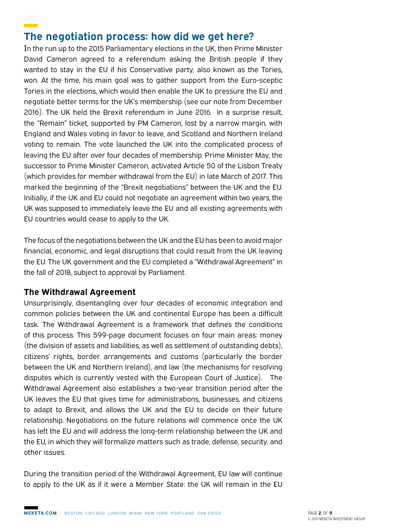## **The negotiation process: how did we get here?**

In the run up to the 2015 Parliamentary elections in the UK, then Prime Minister David Cameron agreed to a referendum asking the British people if they wanted to stay in the EU if his Conservative party, also known as the Tories, won. At the time, his main goal was to gather support from the Euro-sceptic Tories in the elections, which would then enable the UK to pressure the EU and negotiate better terms for the UK's membership (see our note from December 2016). The UK held the Brexit referendum in June 2016. In a surprise result, the "Remain" ticket, supported by PM Cameron, lost by a narrow margin, with England and Wales voting in favor to leave, and Scotland and Northern Ireland voting to remain. The vote launched the UK into the complicated process of leaving the EU after over four decades of membership. Prime Minister May, the successor to Prime Minister Cameron, activated Article 50 of the Lisbon Treaty (which provides for member withdrawal from the EU) in late March of 2017. This marked the beginning of the "Brexit negotiations" between the UK and the EU. Initially, if the UK and EU could not negotiate an agreement within two years, the UK was supposed to immediately leave the EU and all existing agreements with EU countries would cease to apply to the UK.

The focus of the negotiations between the UK and the EU has been to avoid major financial, economic, and legal disruptions that could result from the UK leaving the EU. The UK government and the EU completed a "Withdrawal Agreement" in the fall of 2018, subject to approval by Parliament.

#### **The Withdrawal Agreement**

Unsurprisingly, disentangling over four decades of economic integration and common policies between the UK and continental Europe has been a difficult task. The Withdrawal Agreement is a framework that defines the conditions of this process. This 599-page document focuses on four main areas: money (the division of assets and liabilities, as well as settlement of outstanding debts), citizens' rights, border arrangements and customs (particularly the border between the UK and Northern Ireland), and law (the mechanisms for resolving disputes which is currently vested with the European Court of Justice). The Withdrawal Agreement also establishes a two-year transition period after the UK leaves the EU that gives time for administrations, businesses, and citizens to adapt to Brexit, and allows the UK and the EU to decide on their future relationship. Negotiations on the future relations will commence once the UK has left the EU and will address the long-term relationship between the UK and the EU, in which they will formalize matters such as trade, defense, security, and other issues.

During the transition period of the Withdrawal Agreement, EU law will continue to apply to the UK as if it were a Member State: the UK will remain in the EU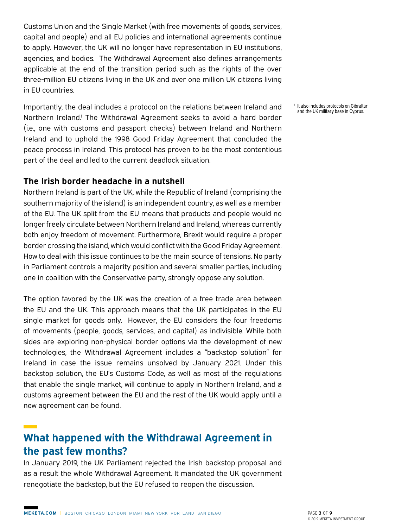Customs Union and the Single Market (with free movements of goods, services, capital and people) and all EU policies and international agreements continue to apply. However, the UK will no longer have representation in EU institutions, agencies, and bodies. The Withdrawal Agreement also defines arrangements applicable at the end of the transition period such as the rights of the over three-million EU citizens living in the UK and over one million UK citizens living in EU countries.

Importantly, the deal includes a protocol on the relations between Ireland and Northern Ireland.<sup>1</sup> The Withdrawal Agreement seeks to avoid a hard border (i.e., one with customs and passport checks) between Ireland and Northern Ireland and to uphold the 1998 Good Friday Agreement that concluded the peace process in Ireland. This protocol has proven to be the most contentious part of the deal and led to the current deadlock situation.

#### **The Irish border headache in a nutshell**

Northern Ireland is part of the UK, while the Republic of Ireland (comprising the southern majority of the island) is an independent country, as well as a member of the EU. The UK split from the EU means that products and people would no longer freely circulate between Northern Ireland and Ireland, whereas currently both enjoy freedom of movement. Furthermore, Brexit would require a proper border crossing the island, which would conflict with the Good Friday Agreement. How to deal with this issue continues to be the main source of tensions. No party in Parliament controls a majority position and several smaller parties, including one in coalition with the Conservative party, strongly oppose any solution.

The option favored by the UK was the creation of a free trade area between the EU and the UK. This approach means that the UK participates in the EU single market for goods only. However, the EU considers the four freedoms of movements (people, goods, services, and capital) as indivisible. While both sides are exploring non-physical border options via the development of new technologies, the Withdrawal Agreement includes a "backstop solution" for Ireland in case the issue remains unsolved by January 2021. Under this backstop solution, the EU's Customs Code, as well as most of the regulations that enable the single market, will continue to apply in Northern Ireland, and a customs agreement between the EU and the rest of the UK would apply until a new agreement can be found.

# **What happened with the Withdrawal Agreement in the past few months?**

In January 2019, the UK Parliament rejected the Irish backstop proposal and as a result the whole Withdrawal Agreement. It mandated the UK government renegotiate the backstop, but the EU refused to reopen the discussion.

<sup>1</sup> It also includes protocols on Gibraltar and the UK military base in Cyprus.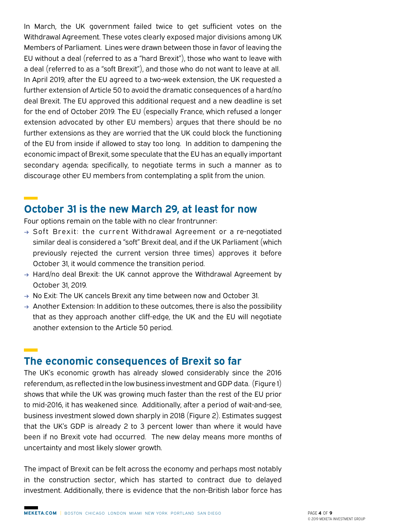In March, the UK government failed twice to get sufficient votes on the Withdrawal Agreement. These votes clearly exposed major divisions among UK Members of Parliament. Lines were drawn between those in favor of leaving the EU without a deal (referred to as a "hard Brexit"), those who want to leave with a deal (referred to as a "soft Brexit"), and those who do not want to leave at all. In April 2019, after the EU agreed to a two-week extension, the UK requested a further extension of Article 50 to avoid the dramatic consequences of a hard/no deal Brexit. The EU approved this additional request and a new deadline is set for the end of October 2019. The EU (especially France, which refused a longer extension advocated by other EU members) argues that there should be no further extensions as they are worried that the UK could block the functioning of the EU from inside if allowed to stay too long. In addition to dampening the economic impact of Brexit, some speculate that the EU has an equally important secondary agenda; specifically, to negotiate terms in such a manner as to discourage other EU members from contemplating a split from the union.

#### **October 31 is the new March 29, at least for now**

Four options remain on the table with no clear frontrunner:

- **→** Soft Brexit: the current Withdrawal Agreement or a re-negotiated similar deal is considered a "soft" Brexit deal, and if the UK Parliament (which previously rejected the current version three times) approves it before October 31, it would commence the transition period.
- **→** Hard/no deal Brexit: the UK cannot approve the Withdrawal Agreement by October 31, 2019.
- **→** No Exit: The UK cancels Brexit any time between now and October 31.
- **→** Another Extension: In addition to these outcomes, there is also the possibility that as they approach another cliff-edge, the UK and the EU will negotiate another extension to the Article 50 period.

#### **The economic consequences of Brexit so far**

The UK's economic growth has already slowed considerably since the 2016 referendum, as reflected in the low business investment and GDP data. (Figure 1) shows that while the UK was growing much faster than the rest of the EU prior to mid-2016, it has weakened since. Additionally, after a period of wait-and-see, business investment slowed down sharply in 2018 (Figure 2). Estimates suggest that the UK's GDP is already 2 to 3 percent lower than where it would have been if no Brexit vote had occurred. The new delay means more months of uncertainty and most likely slower growth.

The impact of Brexit can be felt across the economy and perhaps most notably in the construction sector, which has started to contract due to delayed investment. Additionally, there is evidence that the non-British labor force has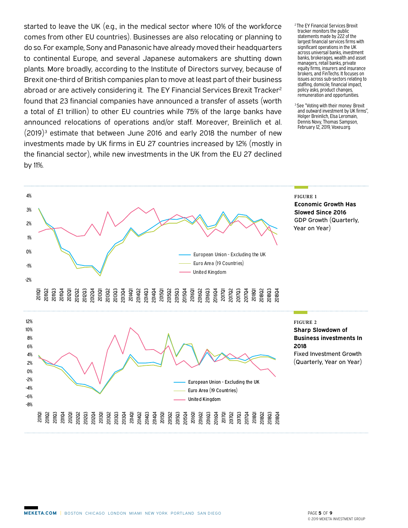started to leave the UK (e.g., in the medical sector where 10% of the workforce comes from other EU countries). Businesses are also relocating or planning to do so. For example, Sony and Panasonic have already moved their headquarters to continental Europe, and several Japanese automakers are shutting down plants. More broadly, according to the Institute of Directors survey, because of Brexit one-third of British companies plan to move at least part of their business abroad or are actively considering it. The EY Financial Services Brexit Tracker<sup>2</sup> found that 23 financial companies have announced a transfer of assets (worth a total of £1 trillion) to other EU countries while 75% of the large banks have announced relocations of operations and/or staff. Moreover, Breinlich et al.  $(2019)^3$  estimate that between June 2016 and early 2018 the number of new investments made by UK firms in EU 27 countries increased by 12% (mostly in the financial sector), while new investments in the UK from the EU 27 declined by 11%.

- 2 The EY Financial Services Brexit tracker monitors the public statements made by 222 of the largest financial services firms with significant operations in the UK across universal banks, investment banks, brokerages, wealth and asset managers, retail banks, private equity firms, insurers and insurance brokers, and FinTechs. It focuses on issues across sub-sectors relating to staffing, domicile, financial impact, policy asks, product changes, remuneration and opportunities.
- <sup>3</sup> See "Voting with their money: Brexit and outward investment by UK firms", Holger Breinlich, Elsa Leromain, Dennis Novy, Thomas Sampson, February 12, 2019, Voxeu.org.

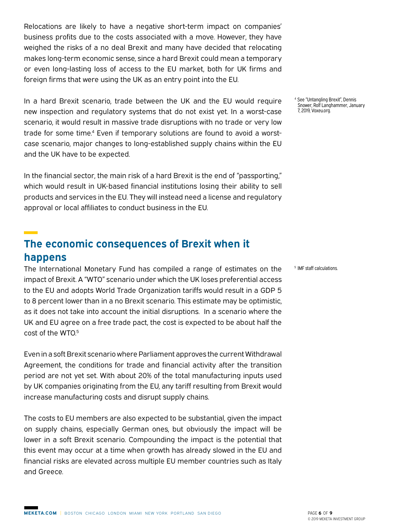Relocations are likely to have a negative short-term impact on companies' business profits due to the costs associated with a move. However, they have weighed the risks of a no deal Brexit and many have decided that relocating makes long-term economic sense, since a hard Brexit could mean a temporary or even long-lasting loss of access to the EU market, both for UK firms and foreign firms that were using the UK as an entry point into the EU.

In a hard Brexit scenario, trade between the UK and the EU would require new inspection and regulatory systems that do not exist yet. In a worst-case scenario, it would result in massive trade disruptions with no trade or very low trade for some time.<sup>4</sup> Even if temporary solutions are found to avoid a worstcase scenario, major changes to long-established supply chains within the EU and the UK have to be expected.

In the financial sector, the main risk of a hard Brexit is the end of "passporting," which would result in UK-based financial institutions losing their ability to sell products and services in the EU. They will instead need a license and regulatory approval or local affiliates to conduct business in the EU.

## **The economic consequences of Brexit when it happens**

The International Monetary Fund has compiled a range of estimates on the impact of Brexit. A "WTO" scenario under which the UK loses preferential access to the EU and adopts World Trade Organization tariffs would result in a GDP 5 to 8 percent lower than in a no Brexit scenario. This estimate may be optimistic, as it does not take into account the initial disruptions. In a scenario where the UK and EU agree on a free trade pact, the cost is expected to be about half the cost of the WTO.5

Even in a soft Brexit scenario where Parliament approves the current Withdrawal Agreement, the conditions for trade and financial activity after the transition period are not yet set. With about 20% of the total manufacturing inputs used by UK companies originating from the EU, any tariff resulting from Brexit would increase manufacturing costs and disrupt supply chains.

The costs to EU members are also expected to be substantial, given the impact on supply chains, especially German ones, but obviously the impact will be lower in a soft Brexit scenario. Compounding the impact is the potential that this event may occur at a time when growth has already slowed in the EU and financial risks are elevated across multiple EU member countries such as Italy and Greece.

4 See "Untangling Brexit", Dennis Snower, Rolf Langhammer, January 7, 2019, Voxeu.org.

5 IMF staff calculations.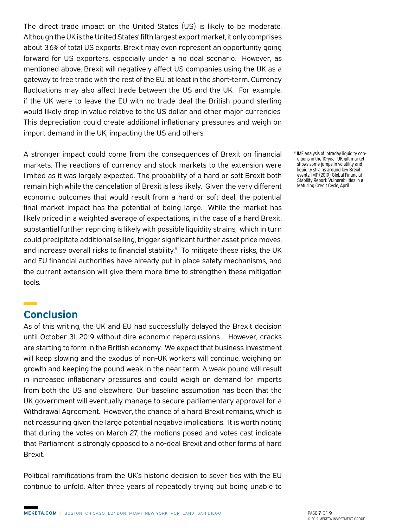The direct trade impact on the United States (US) is likely to be moderate. Although the UK is the United States' fifth largest export market, it only comprises about 3.6% of total US exports. Brexit may even represent an opportunity going forward for US exporters, especially under a no deal scenario. However, as mentioned above, Brexit will negatively affect US companies using the UK as a gateway to free trade with the rest of the EU, at least in the short-term. Currency fluctuations may also affect trade between the US and the UK. For example, if the UK were to leave the EU with no trade deal the British pound sterling would likely drop in value relative to the US dollar and other major currencies. This depreciation could create additional inflationary pressures and weigh on import demand in the UK, impacting the US and others.

A stronger impact could come from the consequences of Brexit on financial markets. The reactions of currency and stock markets to the extension were limited as it was largely expected. The probability of a hard or soft Brexit both remain high while the cancelation of Brexit is less likely. Given the very different economic outcomes that would result from a hard or soft deal, the potential final market impact has the potential of being large. While the market has likely priced in a weighted average of expectations, in the case of a hard Brexit, substantial further repricing is likely with possible liquidity strains, which in turn could precipitate additional selling, trigger significant further asset price moves, and increase overall risks to financial stability.<sup>6</sup> To mitigate these risks, the UK and EU financial authorities have already put in place safety mechanisms, and the current extension will give them more time to strengthen these mitigation tools.

## **Conclusion**

As of this writing, the UK and EU had successfully delayed the Brexit decision until October 31, 2019 without dire economic repercussions. However, cracks are starting to form in the British economy. We expect that business investment will keep slowing and the exodus of non-UK workers will continue, weighing on growth and keeping the pound weak in the near term. A weak pound will result in increased inflationary pressures and could weigh on demand for imports from both the US and elsewhere. Our baseline assumption has been that the UK government will eventually manage to secure parliamentary approval for a Withdrawal Agreement. However, the chance of a hard Brexit remains, which is not reassuring given the large potential negative implications. It is worth noting that during the votes on March 27, the motions posed and votes cast indicate that Parliament is strongly opposed to a no-deal Brexit and other forms of hard Brexit.

Political ramifications from the UK's historic decision to sever ties with the EU continue to unfold. After three years of repeatedly trying but being unable to 6 IMF analysis of intraday liquidity conditions in the 10-year UK gilt market shows some jumps in volatility and liquidity strains around key Brexit events. IMF (2019) Global Financial Stability Report: Vulnerabilities in a Maturing Credit Cycle, April.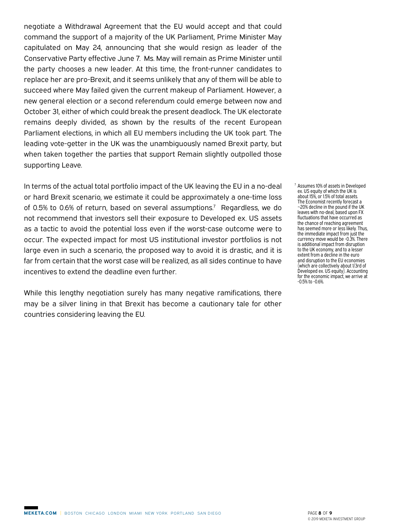negotiate a Withdrawal Agreement that the EU would accept and that could command the support of a majority of the UK Parliament, Prime Minister May capitulated on May 24, announcing that she would resign as leader of the Conservative Party effective June 7. Ms. May will remain as Prime Minister until the party chooses a new leader. At this time, the front-runner candidates to replace her are pro-Brexit, and it seems unlikely that any of them will be able to succeed where May failed given the current makeup of Parliament. However, a new general election or a second referendum could emerge between now and October 31, either of which could break the present deadlock. The UK electorate remains deeply divided, as shown by the results of the recent European Parliament elections, in which all EU members including the UK took part. The leading vote-getter in the UK was the unambiguously named Brexit party, but when taken together the parties that support Remain slightly outpolled those supporting Leave.

In terms of the actual total portfolio impact of the UK leaving the EU in a no-deal or hard Brexit scenario, we estimate it could be approximately a one-time loss of 0.5% to 0.6% of return, based on several assumptions.<sup>7</sup> Regardless, we do not recommend that investors sell their exposure to Developed ex. US assets as a tactic to avoid the potential loss even if the worst-case outcome were to occur. The expected impact for most US institutional investor portfolios is not large even in such a scenario, the proposed way to avoid it is drastic, and it is far from certain that the worst case will be realized, as all sides continue to have incentives to extend the deadline even further.

While this lengthy negotiation surely has many negative ramifications, there may be a silver lining in that Brexit has become a cautionary tale for other countries considering leaving the EU.

7 Assumes 10% of assets in Developed ex. US equity of which the UK is about 15%, or 1.5% of total assets. The Economist recently forecast a ~20% decline in the pound if the UK leaves with no-deal, based upon FX fluctuations that have occurred as the chance of reaching agreement has seemed more or less likely. Thus, the immediate impact from just the currency move would be -0.3%. There is additional impact from disruption to the UK economy, and to a lesser extent from a decline in the euro and disruption to the EU economies (which are collectively about 1/3rd of Developed ex. US equity). Accounting for the economic impact, we arrive at -0.5% to -0.6%.